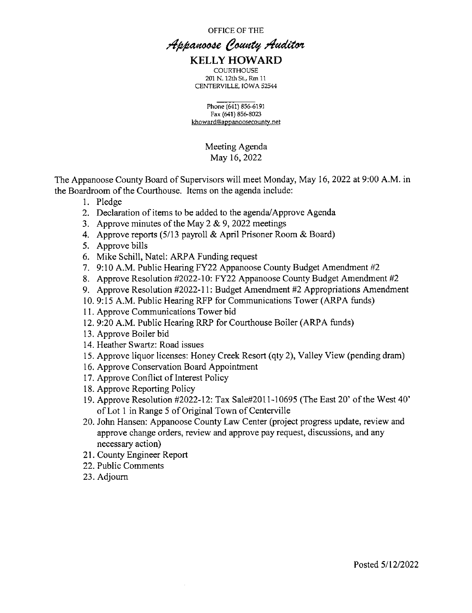OFFICE OF THE

### Appanoose County Auditor KELLY HOWARD

**COURTHOUSE** 201 N. 12th SL, Rm 11 CENTERVILLE, IOWA 52544

Phone (641) 856—6191 Fax (641) 856-8023 khoward@appanoosecounty.net

> Meeting Agenda May 16, 2022

The Appanoose County Board of Supervisors will meet Monday, May 16, 2022 at 9:00 A.M. in the Boardroom of the Courthouse. Items on the agenda include:

- 1. Pledge
- 2. Declaration of items to be added to the agenda/Approve Agenda
- 3. Approve minutes of the May  $2 \& 9$ , 2022 meetings
- Approve reports (5/13 payroll & April Prisoner Room & Board)
- 5. Approve bills
- 6. Mike Schill, Natel: ARPA Funding request
- 9:10 AM. Public Hearing FY22 Appanoose County Budget Amendment #2
- Approve Resolution #2022-10: FY22 Appanoose County Budget Amendment #2
- Approve Resolution #2022-11: Budget Amendment #2 Appropriations Amendment
- . 9:15 A.M. Public Hearing RFP for Communications Tower (ARPA funds)
- <sup>1</sup>1. Approve Communications Tower bid
- 12. 9:20 A.M. Public Hearing RRP for Courthouse Boiler (ARPA funds)
- 13. Approve Boiler bid
- 14. Heather Swartz: Road issues
- 15. Approve liquor licenses: Honey Creek Resort (qty 2), Valley View (pending dram)
- 16. Approve Conservation Board Appointment
- 17. Approve Conflict of Interest Policy
- 18. Approve Reporting Policy
- 19. Approve Resolution #2022-12: Tax Sale#2011-10695 (The East 20' of the West 40' of Lot 1 in Range 5 of Original Town of Centerville
- 20. John Hansen: Appanoose County Law Center (project progress update, review and approve change orders, review and approve pay request, discussions, and any necessary action)
- 21. County Engineer Report
- 22. Public Comments
- 23. Adjourn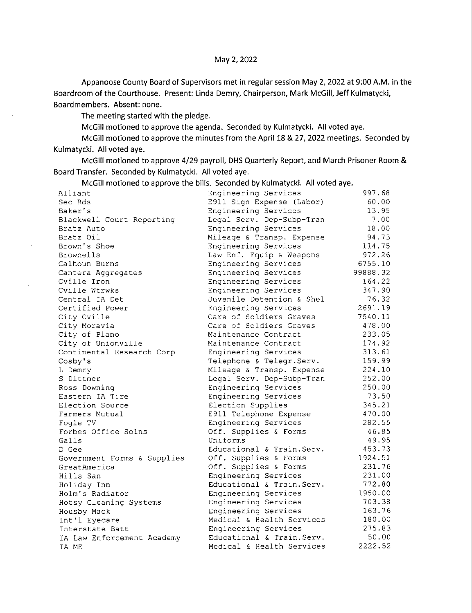Appanoose County Board of Supervisors met in regular session May 2, 2022 at 9:00 AM. in the Boardroom of the Courthouse. Present: Linda Demry, Chairperson, Mark McGilI, Jeff Kulmatycki, Boardmembers. Absent: none.

The meeting started with the pledge.

McGill motioned to approve the agenda. Seconded by Kulmatycki. All voted aye.

McGill motioned to approve the minutes from the April 18 & 27, 2022 meetings. Seconded by Kulmatycki. All voted aye.

McGill motioned to approve 4/29 payroll, DHS Quarterly Report, and March Prisoner Room & Board Transfer. Seconded by Kulmatycki. All voted aye.

McGilI motioned to approve the bills. Seconded by Kulmatycki. All voted aye.

| Alliant                     | Engineering Services       | 997.68   |
|-----------------------------|----------------------------|----------|
| Sec Rds                     | E911 Sign Expense (Labor)  | 60.00    |
| Baker's                     | Engineering Services       | 13.95    |
| Blackwell Court Reporting   | Legal Serv. Dep-Subp-Tran  | 7.00     |
| Bratz Auto                  | Engineering Services       | 18.00    |
| Bratz Oil                   | Mileage & Transp. Expense  | 94.73    |
| Brown's Shoe                | Engineering Services       | 114.75   |
| Brownells                   | Law Enf. Equip & Weapons   | 972.26   |
| Calhoun Burns               | Engineering Services       | 6755.10  |
| Cantera Aggregates          | Engineering Services       | 99888.32 |
| Cville Iron                 | Engineering Services       | 164.22   |
| Cville Wtrwks               | Engineering Services       | 347.90   |
| Central IA Det              | Juvenile Detention & Shel  | 76.32    |
| Certified Power             | Engineering Services       | 2691.19  |
| City Cville                 | Care of Soldiers Graves    | 7540.11  |
| City Moravia                | Care of Soldiers Graves    | 478.00   |
| City of Plano               | Maintenance Contract       | 233.05   |
| City of Unionville          | Maintenance Contract       | 174.92   |
| Continental Research Corp   | Engineering Services       | 313.61   |
| Cosby's                     | Telephone & Telegr. Serv.  | 159.99   |
| L Demry                     | Mileage & Transp. Expense  | 224.10   |
| S Dittmer                   | Legal Serv. Dep-Subp-Tran  | 252.00   |
| Ross Downing                | Engineering Services       | 250.00   |
| Eastern IA Tire             | Engineering Services       | 73.50    |
| Election Source             | Election Supplies          | 345.21   |
| Farmers Mutual              | E911 Telephone Expense     | 470.00   |
| Fogle TV                    | Engineering Services       | 282.55   |
| Forbes Office Solns         | Off. Supplies & Forms      | 46.85    |
| Galls                       | Uniforms                   | 49.95    |
| D Gee                       | Educational & Train. Serv. | 453.73   |
| Government Forms & Supplies | Off. Supplies & Forms      | 1924.51  |
| GreatAmerica                | Off. Supplies & Forms      | 231.76   |
| Hills San                   | Engineering Services       | 231.00   |
| Holiday Inn                 | Educational & Train. Serv. | 772.80   |
| Holm's Radiator             | Engineering Services       | 1950.00  |
| Hotsy Cleaning Systems      | Engineering Services       | 703.38   |
| Housby Mack                 | Engineering Services       | 163.76   |
| Int'l Eyecare               | Medical & Health Services  | 180.00   |
| Interstate Batt             | Engineering Services       | 275.83   |
| IA Law Enforcement Academy  | Educational & Train. Serv. | 50.00    |
| IA ME                       | Medical & Health Services  | 2222.52  |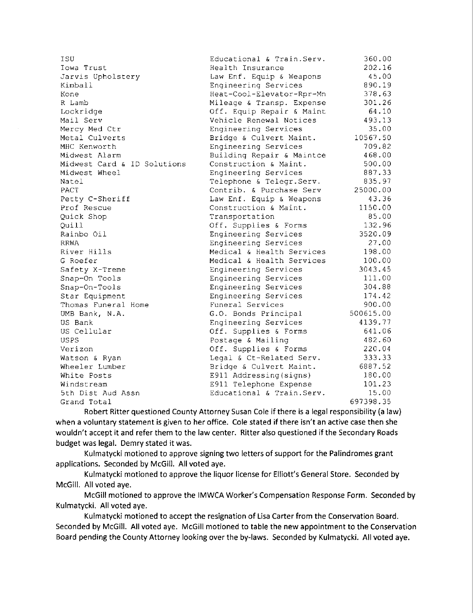| ISU                         | Educational & Train. Serv. | 360.00    |
|-----------------------------|----------------------------|-----------|
| Towa Trust                  | Health Insurance           | 202.16    |
| Jarvis Upholstery           | Law Enf. Equip & Weapons   | 45.00     |
| Kimball                     | Engineering Services       | 890.19    |
| Kone                        | Heat-Cool-Elevator-Rpr-Mn  | 378.63    |
| R Lamb                      | Mileage & Transp. Expense  | 301.26    |
| Lockridge                   | Off. Equip Repair & Maint  | 64.10     |
| Mail Serv                   | Vehicle Renewal Notices    | 493.13    |
| Mercy Med Ctr               | Engineering Services       | 35.00     |
| Metal Culverts              | Bridge & Culvert Maint.    | 10567.50  |
| MHC Kenworth                | Engineering Services       | 709.82    |
| Midwest Alarm               | Building Repair & Maintce  | 468.00    |
| Midwest Card & ID Solutions | Construction & Maint.      | 500.00    |
| Midwest Wheel               | Engineering Services       | 887.33    |
| Natel                       | Telephone & Telegr. Serv.  | 835.97    |
| <b>PACT</b>                 | Contrib. & Purchase Serv   | 25000.00  |
| Petty C-Sheriff             | Law Enf. Equip & Weapons   | 43.36     |
| Prof Rescue                 | Construction & Maint.      | 1150.00   |
| Quick Shop                  | Transportation             | 85.00     |
| Quill                       | Off. Supplies & Forms      | 132.96    |
| Rainbo Oil                  | Engineering Services       | 3520.09   |
| <b>RRWA</b>                 | Engineering Services       | 27.00     |
| River Hills                 | Medical & Health Services  | 198.00    |
| G Roefer                    | Medical & Health Services  | 100.00    |
| Safety X-Treme              | Engineering Services       | 3043.45   |
| Snap-On Tools               | Engineering Services       | 111.00    |
| Snap-On-Tools               | Engineering Services       | 304.88    |
| Star Equipment              | Engineering Services       | 174.42    |
| Thomas Funeral Home         | Funeral Services           | 900.00    |
| UMB Bank, N.A.              | G.O. Bonds Principal       | 500615.00 |
| US Bank                     | Engineering Services       | 4139.77   |
| US Cellular                 | Off. Supplies & Forms      | 641.06    |
| <b>USPS</b>                 | Postage & Mailing          | 482.60    |
| Verizon                     | Off. Supplies & Forms      | 220.04    |
| Watson & Ryan               | Legal & Ct-Related Serv.   | 333.33    |
| Wheeler Lumber              | Bridge & Culvert Maint.    | 6887.52   |
| White Posts                 | E911 Addressing (signs)    | 180.00    |
| Windstream                  | E911 Telephone Expense     | 101.23    |
| 5th Dist Aud Assn           | Educational & Train. Serv. | 15.00     |
| Grand Total                 |                            | 697398.35 |

Robert Ritter questioned County Attorney Susan Cole if there is a legal responsibility (a law) when a voluntary statement is given to her office. Cole stated if there isn't an active case then she wouldn't accept it and refer them to the law center. Ritter also questioned if the Secondary Roads budget was legal. Demry stated it was.

Kulmatycki motioned to approve signing two letters of support for the Palindromes grant applications. Seconded by McGill. All voted aye.

Kulmatycki motioned to approve the liquor license for Elliott's General Store. Seconded by McGill. Allvoted aye.

McGill motioned to approve the IMWCA Worker's Compensation Response Form. Seconded by Kulmatycki. All voted aye.

Kulmatycki motioned to accept the resignation of Lisa Carter from the Conservation Board. Seconded by McGill. All voted aye. McGill motioned to table the new appointment to the Conservation Board pending the County Attorney looking over the by—laws. Seconded by Kulmatycki. All voted aye.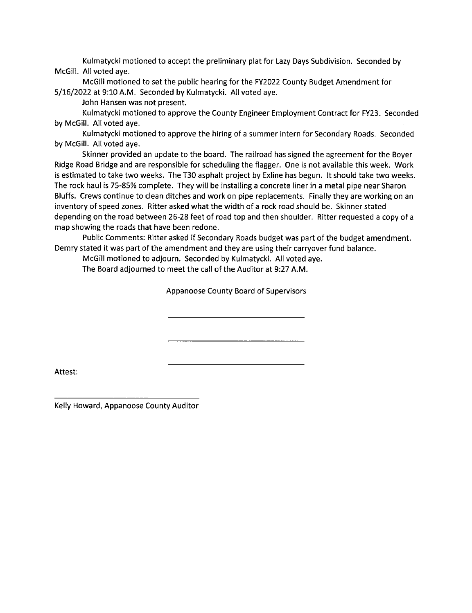Kulmatycki motioned to accept the preliminary plat for Lazy Days Subdivision. Seconded by McGill. All voted aye.

McGill motioned to set the public hearing for the FY2022 County Budget Amendment for 5/16/2022 at 9:10 AM. Seconded by Kulmatycki. All voted aye.

John Hansen was not present.

Kulmatycki motioned to approve the County Engineer Employment Contract for FY23. Seconded by McGiIl. All voted aye.

Kulmatycki motioned to approve the hiring of a summer intern for Secondary Roads. Seconded by McGill. All voted aye.

Skinner provided an update to the board. The railroad has signed the agreement for the Boyer Ridge Road Bridge and are responsible for scheduling the flagger. One is not available this week. Work is estimated to take two weeks. The T30 asphalt project by Exline has begun. It should take two weeks. The rock haul is 75-85% complete. They will be installing a concrete liner in a metal pipe near Sharon Bluffs. Crews continue to clean ditches and work on pipe replacements. Finally they are working on an inventory of speed zones. Ritter asked what the width of a rock road should be. Skinner stated depending on the road between 26-28 feet of road top and then shoulder. Ritter requested a copy of <sup>a</sup> map showing the roads that have been redone.

Public Comments: Ritter asked if Secondary Roads budget was part of the budget amendment. Demry stated it was part of the amendment and they are using their carryover fund balance.

McGill motioned to adjourn. Seconded by Kulmatycki. All voted aye.

The Board adjourned to meet the call of the Auditor at 9:27 AM.

Appanoose County Board of Supervisors

Attest:

Kelly Howard, Appanoose County Auditor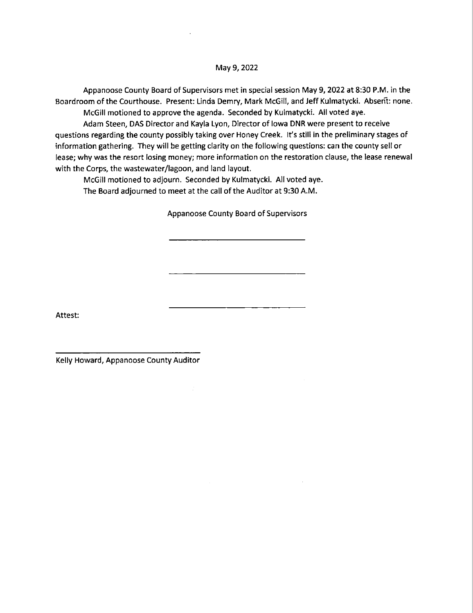Appanoose County Board of Supervisors met in special session May 9, 2022 at 8:30 PM. in the Boardroom of the Courthouse. Present: Linda Demry, Mark McGill, and Jeff Kulmatycki. Absen't: none.

McGill motioned to approve the agenda. Seconded by Kulmatycki. All voted aye.

Adam Steen, DAS Director and Kayla Lyon, Director of Iowa DNR were present to receive questions regarding the county possibly taking over Honey Creek. It's still in the preliminary stages of information gathering. They will be getting clarity on the following questions: can the county sell or lease; why was the resort losing money; more information on the restoration clause, the lease renewal with the Corps, the wastewater/lagoon, and land layout.

McGill motioned to adjourn. Seconded by Kulmatycki. All voted aye. The Board adjourned to meet at the call of the Auditor at 9:30 AM.

 $\mathcal{I}$ 

Appanoose County Board of Supervisors

Attest:

Kelly Howard, Appanoose County Auditor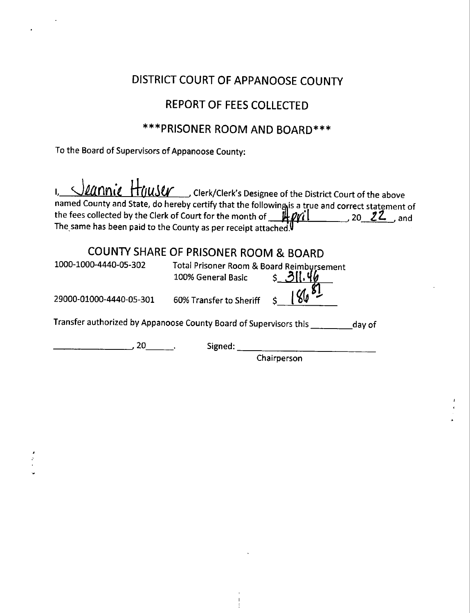## DISTRICT COURT OF APPANOOSE COUNTY

## REPORT OF FEES COLLECTED

## \*\*\*PRISONER ROOM AND BOARD\*\*\*

To the Board of Supervisors of Appanoose County:

|                       | 1, <i>Jeannie</i> Houser Clerk/Clerk's Designee of the District Court of the above<br>named County and State, do hereby certify that the following is a true and correct statement of the fees collected by the Clerk of Court for the month of <b>HPMI</b> 20 22, and<br>The same has been paid to the County as per receipt attached. |
|-----------------------|-----------------------------------------------------------------------------------------------------------------------------------------------------------------------------------------------------------------------------------------------------------------------------------------------------------------------------------------|
|                       | <b>COUNTY SHARE OF PRISONER ROOM &amp; BOARD</b>                                                                                                                                                                                                                                                                                        |
| 1000-1000-4440-05-302 | Total Prisoner Room & Board Reimbursement                                                                                                                                                                                                                                                                                               |

|                                                                   | 100% General Basic      |        |
|-------------------------------------------------------------------|-------------------------|--------|
| 29000-01000-4440-05-301                                           | 60% Transfer to Sheriff |        |
| Transfer authorized by Appanoose County Board of Supervisors this |                         | day of |

, 20 . Signed:

**Chairperson**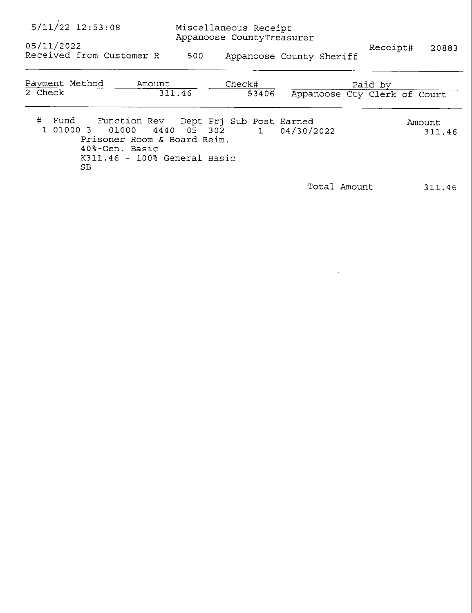| $5/11/22$ 12:53:08<br>Miscellaneous Receipt<br>Appanoose CountyTreasurer<br>05/11/2022                                                                    |             |                 |                          |                                         | 20883            |
|-----------------------------------------------------------------------------------------------------------------------------------------------------------|-------------|-----------------|--------------------------|-----------------------------------------|------------------|
| Received from Customer R                                                                                                                                  | 500         |                 | Appanoose County Sheriff | Receipt#                                |                  |
| Payment Method<br>Amount<br>2 Check                                                                                                                       | 311.46      | Check#<br>53406 |                          | Paid by<br>Appanoose Cty Clerk of Court |                  |
| #<br>Fund Function Rev Dept Prj Sub Post Earned<br>1 01000 3 01000<br>Prisoner Room & Board Reim.<br>40%-Gen. Basic<br>K311.46 - 100% General Basic<br>SB | 4440 05 302 |                 | $1$ 04/30/2022           |                                         | Amount<br>311.46 |
|                                                                                                                                                           |             |                 |                          | Total Amount                            | 311.46           |

 $\label{eq:2.1} \frac{1}{\sqrt{2}}\int_{\mathbb{R}^3}\frac{1}{\sqrt{2}}\left(\frac{1}{\sqrt{2}}\right)^2\frac{1}{\sqrt{2}}\left(\frac{1}{\sqrt{2}}\right)^2\frac{1}{\sqrt{2}}\left(\frac{1}{\sqrt{2}}\right)^2\frac{1}{\sqrt{2}}\left(\frac{1}{\sqrt{2}}\right)^2\frac{1}{\sqrt{2}}\left(\frac{1}{\sqrt{2}}\right)^2\frac{1}{\sqrt{2}}\frac{1}{\sqrt{2}}\frac{1}{\sqrt{2}}\frac{1}{\sqrt{2}}\frac{1}{\sqrt{2}}\frac{1}{\sqrt{2}}$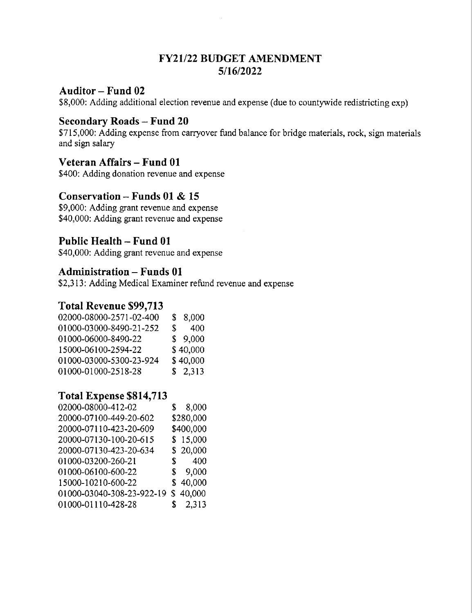### FY21/22 BUDGET AMENDMENT 5/16/2022

### Auditor — Fund 02

\$8,000: Adding additional election revenue and expense (due to countywide redistricting exp)

### $Secondary$  Roads  $-$  Fund 20

\$715,000: Adding expense from carryover fund balance for bridge materials, rock, sign materials and sign salary

### Veteran Affairs — Fund 01

\$400: Adding donation revenue and expense

### Conservation — Funds 01 & <sup>15</sup>

\$9,000: Adding grant revenue and expense \$40,000: Adding grant revenue and expense

### Public Health — Fund 01

\$40,000: Adding grant revenue and expense

### Administration — Funds 01

\$2,313: Adding Medical Examiner refund revenue and expense

### Total Revenue \$99,713

| 02000-08000-2571-02-400 |    | \$8,000  |
|-------------------------|----|----------|
| 01000-03000-8490-21-252 | S. | 400      |
| 01000-06000-8490-22     |    | \$9,000  |
| 15000-06100-2594-22     |    | \$40,000 |
| 01000-03000-5300-23-924 |    | \$40,000 |
| 01000-01000-2518-28     |    | \$2,313  |

### Total Expense \$814,713

| \$8,000                            |
|------------------------------------|
| \$280,000                          |
| \$400,000                          |
| \$15,000                           |
| \$20,000                           |
| \$ 400                             |
| \$9,000                            |
| \$40,000                           |
| 01000-03040-308-23-922-19 \$40,000 |
| \$2,313                            |
|                                    |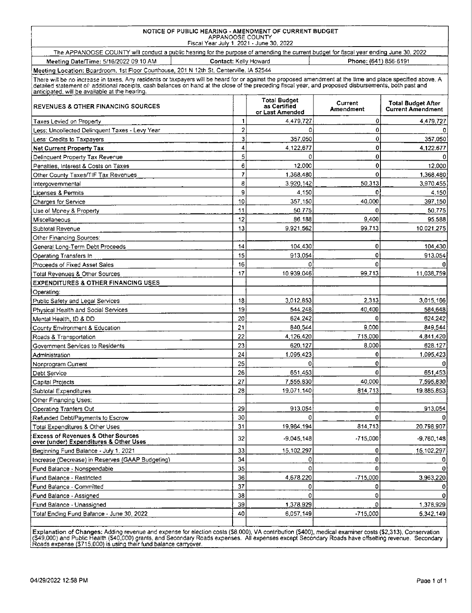### NOTICE OF PUBLIC HEARING - AMENDMENT OF CURRENT BUDGET APPANOOSE COUNTY Fisca! Year July 1 2021 - June 30, 2022

The APPANOOSE COUNTY will conduct a public hearing for the purpose of amending the current budget for fiscal year ending June 30. 2022

Meeting Date/Time: 5/16/2022 09:10 AM Contact: Kelly Howard Phone: (641) 856-6191 Meeting Location: Boardroom. 1st Floor Courthouse, 201 N 12th St. Centerville. IA 52544

There will be no increase in taxes. Any residents or taxpayers will be heard for or against the proposed amendment at the time and place specified above. A<br>detailed statement of additional receipts, cash balances on hand a

| annopated, will be direitable at the hoofil<br><b>REVENUES &amp; OTHER FINANCING SOURCES</b> |                | <b>Total Budget</b><br>as Certified<br>or Last Amended | Current<br>Amendment | <b>Total Budget After</b><br><b>Current Amendment</b> |
|----------------------------------------------------------------------------------------------|----------------|--------------------------------------------------------|----------------------|-------------------------------------------------------|
| Taxes Levied on Property                                                                     | 1              | 4,479,727                                              | 0                    | 4,479,727                                             |
| Less: Uncollected Delinquent Taxes - Levy Year                                               | $\overline{c}$ |                                                        | 0                    | 0                                                     |
| Less: Credits to Taxpayers                                                                   | 3              | 357.050                                                | 0                    | 357,050                                               |
| <b>Net Current Property Tax</b>                                                              | 4              | 4,122,677                                              | 0                    | 4,122,677                                             |
| Delinquent Property Tax Revenue                                                              | 5              | 0                                                      | 0                    | 0                                                     |
| Penalties, Interest & Costs on Taxes                                                         | 6              | 12.000                                                 | 0                    | 12,000                                                |
| Other County Taxes/TIF Tax Revenues                                                          | $\overline{7}$ | 1,368,480                                              | 0                    | 1,368,480                                             |
| Intergovernmental                                                                            | 8              | 3.920.142                                              | 50.313               | 3.970.455                                             |
| Licenses & Permits                                                                           | 9              | 4,150                                                  | o                    | 4.150                                                 |
| Charges for Service                                                                          | 10             | 357,150                                                | 40,000               | 397,150                                               |
| Use of Money & Property                                                                      | 11             | 50.775                                                 | $\Omega$             | 50,775                                                |
| Miscellaneous                                                                                | 12             | 86.188                                                 | 9,400                | 95.588                                                |
| Subtotal Revenue                                                                             | 13             | 9.921.562                                              | 99.713               | 10.021.275                                            |
| Other Financing Sources:                                                                     |                |                                                        |                      |                                                       |
| General Long-Term Debt Proceeds                                                              | 14             | 104.430                                                | 0                    | 104,430                                               |
| Operating Transfers In                                                                       | 15             | 913.054                                                | 0                    | 913,054                                               |
| Proceeds of Fixed Asset Sales                                                                | 16             | n                                                      | $\Omega$             |                                                       |
| Total Revenues & Other Sources                                                               | 17             | 10.939.046                                             | 99,713               | 11,038,759                                            |
| <b>EXPENDITURES &amp; OTHER FINANCING USES</b>                                               |                |                                                        |                      |                                                       |
| Operating:                                                                                   |                |                                                        |                      |                                                       |
| Public Safety and Legal Services                                                             | 18             | 3,012.853                                              | 2,313                | 3,015.166                                             |
| Physical Health and Social Services                                                          | 19             | 544,248                                                | 40,400               | 584,648                                               |
| Mental Health, ID & DD                                                                       | 20             | 624.242                                                | 0                    | 624.242                                               |
| County Environment & Education                                                               | 21             | 840,544                                                | 9.000                | 849,544                                               |
| Roads & Transportation                                                                       | 22             | 4.126.420                                              | 715,000              | 4,841,420                                             |
| Government Services to Residents                                                             | 23             | 620,127                                                | 8.000                | 628.127                                               |
| Administration                                                                               | 24             | 1.095,423                                              | 0                    | 1,095,423                                             |
| Nonprogram Current                                                                           | 25             | 0                                                      | 0                    |                                                       |
| Debt Service                                                                                 | 26             | 651,453                                                | 0                    | 651,453                                               |
| Capital Projects                                                                             | 27             | 7,555.830                                              | 40.000               | 7,595,830                                             |
| Subtotal Expenditures                                                                        | 28             | 19,071,140                                             | 814,713              | 19,885,853                                            |
| Other Financing Uses:                                                                        |                |                                                        |                      |                                                       |
| <b>Operating Tranfers Out</b>                                                                | 29             | 913,054                                                | $\bf{0}$             | 913,054                                               |
| Refunded Debt/Payments to Escrow                                                             | 30             | 0                                                      | 0                    |                                                       |
| Total Expenditures & Other Uses                                                              | 31             | 19.984.194                                             | 814,713              | 20.798.907                                            |
| <b>Excess of Revenues &amp; Other Sources</b><br>over (under) Expenditures & Other Uses      | 32             | $-9,045,148$                                           | $-715,000$           | $-9,760,148$                                          |
| Beginning Fund Balance - July 1, 2021                                                        | 33             | 15,102,297                                             | 0                    | 15,102,297                                            |
| Increase (Decrease) in Reserves (GAAP Budgeting)                                             | 34             | 0                                                      | 0                    |                                                       |
| Fund Balance - Nonspendable                                                                  | 35             | $\Omega$                                               | 0                    |                                                       |
| Fund Balance - Restricted                                                                    | 36             | 4,678.220                                              | $-715,000$           | 3,963,220                                             |
| Fund Balance - Committed                                                                     | 37             | 0                                                      | 0                    |                                                       |
| Fund Balance - Assigned                                                                      | 38             | Û                                                      | 0                    |                                                       |
| Fund Balance - Unassigned                                                                    | 39             | 1,378.929                                              | 0                    | 1,378.929                                             |
| Total Ending Fund Balance - June 30, 2022                                                    | 40             | 6,057,149                                              | $-715,000$           | 5,342,149                                             |
|                                                                                              |                |                                                        |                      |                                                       |

Explanation of Changes: Adding revenue and expense for election costs (\$8,000), VA contribution (\$400), medical examiner costs (\$2,313), Conservation<br>(\$49,000) and Public Health (\$40,000) grants, and Secondary Roads expens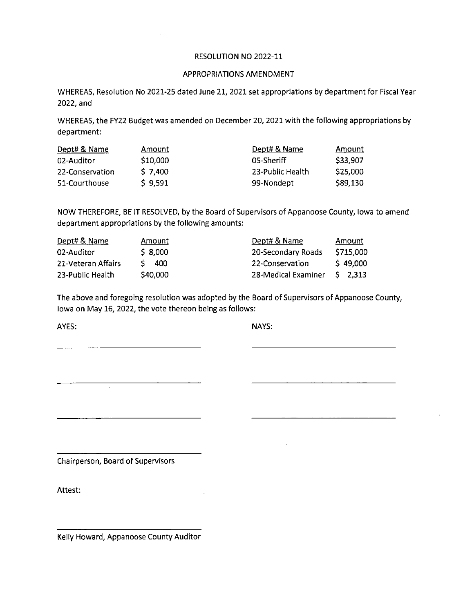### RESOLUTION NO 2022-11

#### APPROPRIATIONS AMENDMENT

WHEREAS, Resolution No 2021-25 dated June 21, 2021 set appropriations by department for Fiscal Year 2022, and

WHEREAS, the FY22 Budget was amended on December 20, 2021 with the following appropriations by department:

| Dept# & Name    | Amount    | Dept# & Name     | Amount   |
|-----------------|-----------|------------------|----------|
| 02-Auditor      | \$10,000  | 05-Sheriff       | \$33,907 |
| 22-Conservation | $S$ 7.400 | 23-Public Health | \$25,000 |
| 51-Courthouse   | \$9,591   | 99-Nondept       | \$89,130 |

NOW THEREFORE, BE IT RESOLVED, by the Board of Supervisors of Appanoose County, Iowa to amend department appropriations by the following amounts:

| Dept# & Name       | Amount   | Dept# & Name        | <u>Amount</u> |
|--------------------|----------|---------------------|---------------|
| 02-Auditor         | \$8,000  | 20-Secondary Roads  | \$715,000     |
| 21-Veteran Affairs | -400     | 22-Conservation     | \$49,000      |
| 23-Public Health   | \$40,000 | 28-Medical Examiner | $S$ 2.313     |

The above and foregoing resolution was adopted by the Board of Supervisors of Appanoose County, Iowa on May 16, 2022, the vote thereon being as follows:

AYES: NAYS:

Chairperson, Board of Supervisors

 $\overline{\phantom{0}}$ 

Attest:

Kelly Howard, Appanoose County Auditor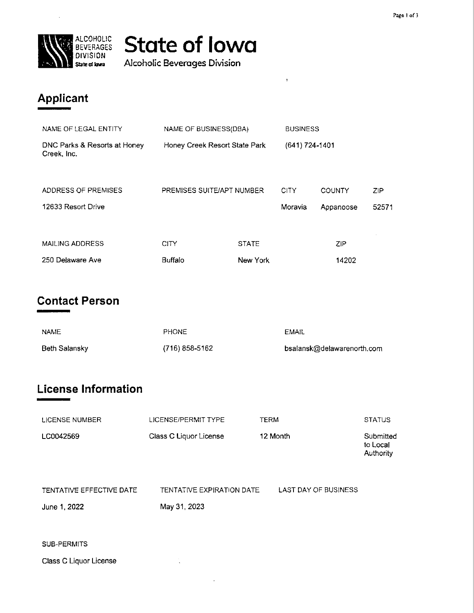

## State of Iowa

Alcoholic Beverages Division

## Applicant

| NAME OF LEGAL ENTITY                        | NAME OF BUSINESS(DBA)         |                          | <b>BUSINESS</b>        |                     |              |
|---------------------------------------------|-------------------------------|--------------------------|------------------------|---------------------|--------------|
| DNC Parks & Resorts at Honey<br>Creek, Inc. | Honey Creek Resort State Park |                          | (641) 724-1401         |                     |              |
| ADDRESS OF PREMISES<br>12633 Resort Drive   | PREMISES SUITE/APT NUMBER     |                          | <b>CITY</b><br>Moravia | COUNTY<br>Appanoose | ZIP<br>52571 |
| <b>MAILING ADDRESS</b><br>250 Delaware Ave  | <b>CITY</b><br><b>Buffalo</b> | <b>STATE</b><br>New York |                        | <b>ZIP</b><br>14202 |              |

 $\bar{z}$ 

## Contact Person

| <b>NAME</b>   | <b>PHONE</b>   | EMAIL                      |
|---------------|----------------|----------------------------|
| Beth Salansky | (716) 858-5162 | bsalansk@delawarenorth.com |

## License Information

| LICENSE NUMBER                           | LICENSE/PERMIT TYPE                       | <b>TERM</b>                 | <b>STATUS</b>                      |
|------------------------------------------|-------------------------------------------|-----------------------------|------------------------------------|
| LC0042569                                | Class C Liquor License                    | 12 Month                    | Submitted<br>to Local<br>Authority |
| TENTATIVE EFFECTIVE DATE<br>June 1, 2022 | TENTATIVE EXPIRATION DATE<br>May 31, 2023 | <b>LAST DAY OF BUSINESS</b> |                                    |
| SUB-PERMITS                              |                                           |                             |                                    |

Class C Liquor License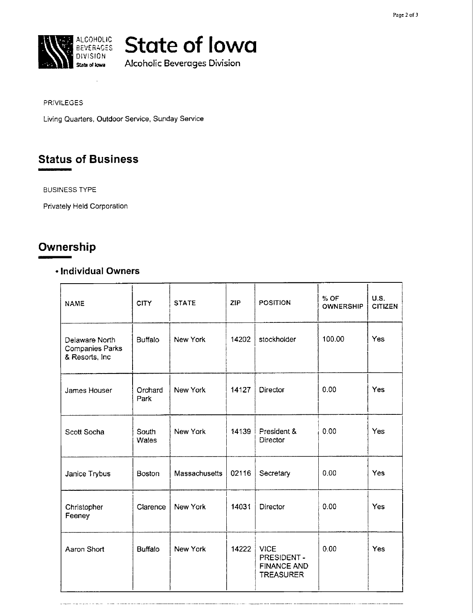

## **RALCOHOLIC** State of Iowa

Alcoholic Beverages Division

#### PRIVILEGES

Living Quarters, Outdoor Service. Sunday Service

## Status of Business

BUSINESS TYPE

Privately Held Corporation

## Ownership

### - Individual Owners

| <b>NAME</b>                                                 | <b>CITY</b>     | <b>STATE</b>  | <b>ZIP</b> | <b>POSITION</b>                                                     | % OF<br><b>OWNERSHIP</b> | <b>U.S.</b><br><b>CITIZEN</b> |
|-------------------------------------------------------------|-----------------|---------------|------------|---------------------------------------------------------------------|--------------------------|-------------------------------|
| Delaware North<br><b>Companies Parks</b><br>& Resorts, Inc. | <b>Buffalo</b>  | New York      | 14202      | stockholder                                                         | 100,00                   | Yes                           |
| James Houser                                                | Orchard<br>Park | New York      | 14127      | Director                                                            | 0.00                     | Yes                           |
| Scott Socha                                                 | South<br>Wales  | New York      | 14139      | President &<br>Director                                             | 0.00                     | Yes                           |
| Janice Trybus                                               | <b>Boston</b>   | Massachusetts | 02116      | Secretary                                                           | 0.00                     | Yes                           |
| Christopher<br>Feeney                                       | Clarence        | New York      | 14031      | Director                                                            | 0.00                     | Yes.                          |
| Aaron Short                                                 | <b>Buffalo</b>  | New York      | 14222      | <b>VICE</b><br>PRESIDENT-<br><b>FINANCE AND</b><br><b>TREASURER</b> | 0.00                     | Yes                           |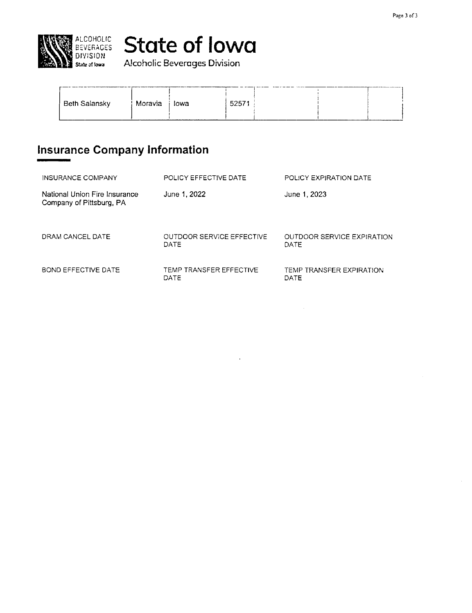

## **RELALCOHOLIC** State of lowa

 $\blacksquare$  state at lowa  $\blacksquare$  Alcoholic Beverages Division

| <b>Beth Salansky</b> | Moravia | lowa | 52571 |  | ______ |  |
|----------------------|---------|------|-------|--|--------|--|
|                      |         |      |       |  |        |  |

## Insurance Company Information

| <b>INSURANCE COMPANY</b>                                  | POLICY EFFECTIVE DATE             | POLICY EXPIRATION DATE                    |
|-----------------------------------------------------------|-----------------------------------|-------------------------------------------|
| National Union Fire Insurance<br>Company of Pittsburg, PA | June 1, 2022                      | June 1, 2023                              |
| DRAM CANCEL DATE                                          | OUTDOOR SERVICE EFFECTIVE<br>DATE | <b>OUTDOOR SERVICE EXPIRATION</b><br>DATE |
| <b>BOND EFFECTIVE DATE</b>                                | TEMP TRANSFER EFFECTIVE<br>DATE   | TEMP TRANSFER EXPIRATION<br>DATE          |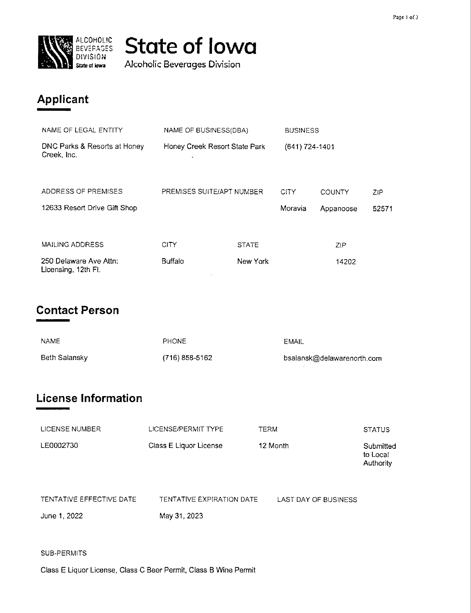

## ALCOHOLIC State of Iowa

Alcoholic Beverages Division

## Applicant

| NAME OF LEGAL ENTITY                          | NAME OF BUSINESS(DBA)              |              | <b>BUSINESS</b> |               |       |
|-----------------------------------------------|------------------------------------|--------------|-----------------|---------------|-------|
| DNC Parks & Resorts at Honey<br>Creek, Inc.   | Honey Creek Resort State Park<br>٠ |              | (641) 724-1401  |               |       |
| ADDRESS OF PREMISES                           | PREMISES SUITE/APT NUMBER          |              | <b>CITY</b>     | <b>COUNTY</b> | ZIP.  |
| 12633 Resort Drive Gift Shop                  |                                    |              | Moravia         | Appanoose     | 52571 |
|                                               |                                    |              |                 |               |       |
| MAILING ADDRESS                               | CITY                               | <b>STATE</b> |                 | ZIP           |       |
| 250 Delaware Ave Attn:<br>Licensing, 12th Fl. | <b>Buffalo</b>                     | New York     |                 | 14202         |       |

## Contact Person

| <b>NAME</b>   | <b>PHONE</b>   | EMAIL                      |
|---------------|----------------|----------------------------|
| Beth Salansky | (716) 858-5162 | bsalansk@delawarenorth.com |

## License Information

| LICENSE NUMBER           | LICENSE/PERMIT TYPE       | TERM                 | <b>STATUS</b>                      |
|--------------------------|---------------------------|----------------------|------------------------------------|
| LE0002730                | Class E Liquor License    | 12 Month             | Submitted<br>to Local<br>Authority |
| TENTATIVE EFFECTIVE DATE | TENTATIVE EXPIRATION DATE | LAST DAY OF BUSINESS |                                    |

June 1, 2022

May 31, 2023

SUB-PERMITS

Class E Liquor License, Class C Beer Permit, Class B Wine Permit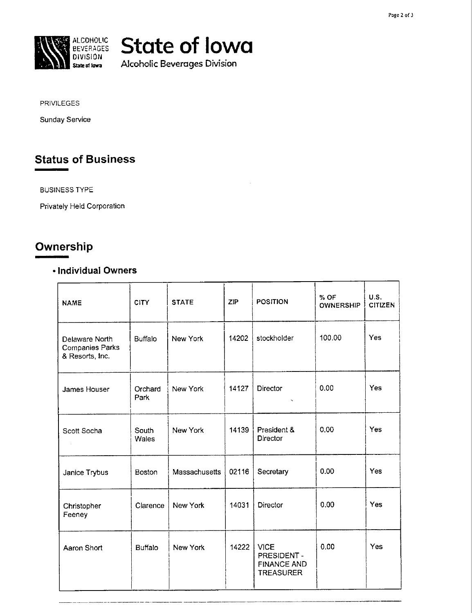

## **ELEVERAGES** State of Iowa

Alcoholic Beverages Division

PRIVILEGES

Sunday Service

## Status of Business

BUSINESS TYPE

Privately Held Corporation

## Ownership

### . Individual Owners

| <b>NAME</b>                                                 | <b>CITY</b>     | <b>STATE</b>  | <b>ZIP</b> | <b>POSITION</b>                                                      | % OF<br><b>OWNERSHIP</b> | <b>U.S.</b><br><b>CITIZEN</b> |
|-------------------------------------------------------------|-----------------|---------------|------------|----------------------------------------------------------------------|--------------------------|-------------------------------|
| Delaware North<br><b>Companies Parks</b><br>& Resorts, Inc. | <b>Buffalo</b>  | New York      | 14202      | stockholder                                                          | 100.00                   | Yes                           |
| James Houser                                                | Orchard<br>Park | New York      | 14127      | Director                                                             | 0.00                     | <b>Yes</b>                    |
| Scott Socha                                                 | South<br>Wales  | New York      | 14139      | President &<br>Director                                              | 0.00                     | Yes                           |
| Janice Trybus                                               | <b>Boston</b>   | Massachusetts | 02116      | Secretary                                                            | 0.00                     | Yes                           |
| Christopher<br>Feeney                                       | Clarence        | New York      | 14031      | Director                                                             | 0.00                     | Yes                           |
| Aaron Short                                                 | <b>Buffalo</b>  | New York      | 14222      | <b>VICE</b><br>PRESIDENT -<br><b>FINANCE AND</b><br><b>TREASURER</b> | 0.00                     | Yes                           |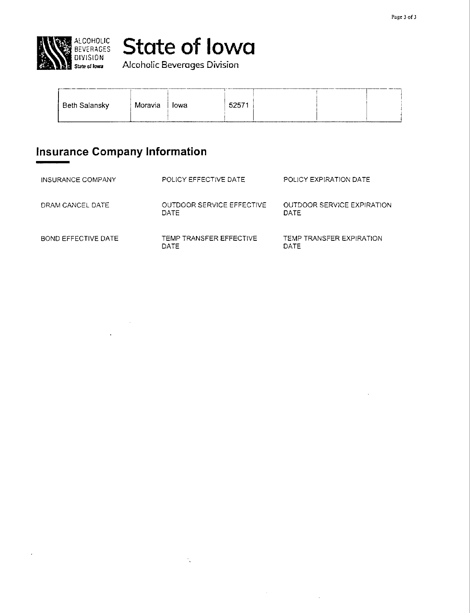

# ALCOHOLIC **State of Iowa**

| <b>Beth Salansky</b> | Moravia | ⊟owa | 5257 |  |  |
|----------------------|---------|------|------|--|--|

## Insurance Company Information

 $\mathbf{r}$ 

| INSURANCE COMPANY   | POLICY EFFECTIVE DATE                    | POLICY EXPIRATION DATE             |
|---------------------|------------------------------------------|------------------------------------|
| DRAM CANCEL DATE    | OUTDOOR SERVICE EFFECTIVE<br><b>DATE</b> | OUTDOOR SERVICE EXPIRATION<br>DATE |
| BOND EFFECTIVE DATE | TEMP TRANSFER EFFECTIVE<br>DATE          | TEMP TRANSFER EXPIRATION<br>DATE.  |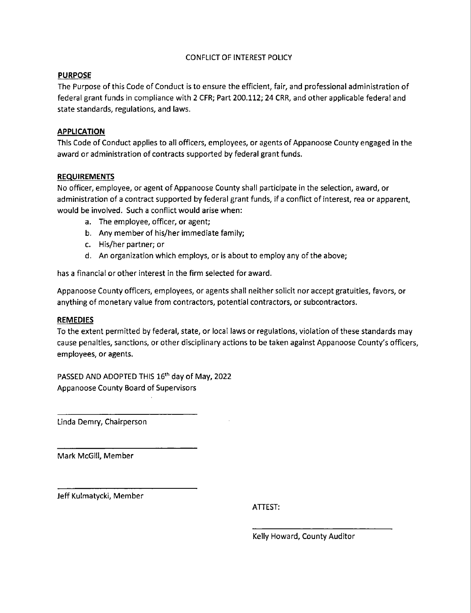### CONFLICT OF INTEREST POLICY

### PURPOSE

The Purpose of this Code of Conduct is to ensure the efficient, fair, and professional administration of federal grant funds in compliance with 2 CFR; Part 200.112; 24 CRR, and other applicable federal and state standards, regulations, and laws.

### APPLICATION

This Code of Conduct applies to all officers, employees, or agents of Appanoose County engaged in the award or administration of contracts supported by federal grant funds.

### REQUIREMENTS

No officer, employee, or agent of Appanoose County shall participate in the selection, award, or administration of a contract supported by federal grant funds, if a conflict of interest, rea or apparent, would be involved. Such a conflict would arise when:

- a. The employee, officer, or agent;
- b. Any member of his/her immediate family;
- c. His/her partner; or
- d. An organization which employs, or is about to employ any ofthe above;

has a financial or other interest in the firm selected for award.

Appanoose County officers, employees, or agents shall neither solicit nor accept gratuities, favors, or anything of monetary value from contractors, potential contractors, or subcontractors.

#### REMEDIES

To the extent permitted by federal, state, or local laws or regulations, violation of these standards may cause penalties, sanctions, or other disciplinary actions to be taken against Appanoose County's officers, employees, or agents.

PASSED AND ADOPTED THIS 16'h day of May, 2022 Appanoose County Board of Supervisors

Linda Demry, Chairperson

Mark McGill, Member

Jeff Kulmatycki, Member

ATTEST:

Kelly Howard, County Auditor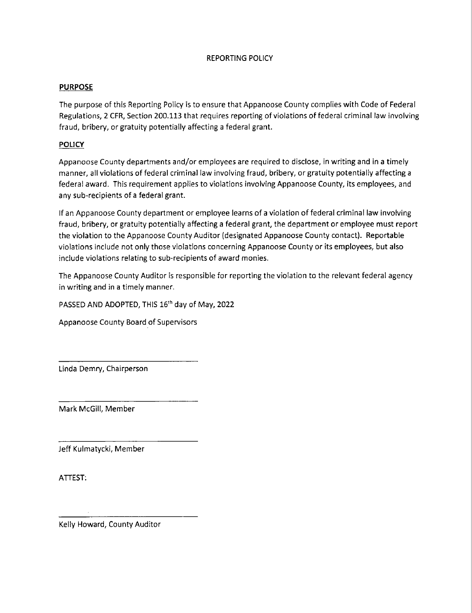### REPORTING POLICY

### PURPOSE

The purpose of this Reporting Policy is to ensure that Appanoose County complies with Code of Federal Regulations, 2 CFR, Section 200.113 that requires reporting of violations of federal criminal law involving fraud, bribery, or gratuity potentially affecting a federal grant.

### POLICY

Appanoose County departments and/or employees are required to disclose, in writing and in a timely manner, all violations of federal criminal law involving fraud, bribery, or gratuity potentially affecting <sup>a</sup> federal award. This requirement applies to violations involving Appanoose County, its employees, and any sub-recipients of a federal grant.

If an Appanoose County department or employee learns of a violation of federal criminal law involving fraud, bribery, or gratuity potentially affecting a federal grant, the department or employee must report the violation to the Appanoose County Auditor (designated Appanoose County contact). Reportable violations include not only those violations concerning Appanoose County or its employees, but also include violations relating to sub—recipients of award monies.

The Appanoose County Auditor is responsible for reporting the violation to the relevant federal agency in writing and in a timely manner.

PASSED AND ADOPTED, THIS 16'h day of May, 2022

Appanoose County Board\_of Supervisors

Linda Demry, Chairperson

Mark McGill, Member

Jeff Kulmatycki, Member

ATTEST:

Kelly Howard, County Auditor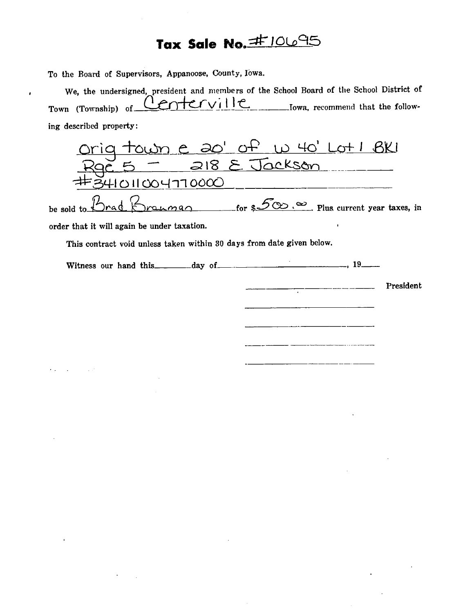## Tax Sale No. #10695

To the Board of Supervisors, Appanoose. County, Iowa.

We, the undersigned, president and members of the School Board of the School District of<br>m (Township) of  $C\cap C$   $\cup$  i  $\cup$ Town (Township) of  $C$  and  $C$  if  $C$  if  $C$  is the follow-<br>Iowa, recommend that the following described property:

Orig town e 20' of w 40' Lot 1 BKI<br>Rgc 5 - 218 E Jackson <u>Rgc 5</u>  $01004770000$ 

be sold to  $\Delta$ rad  $\Delta$ nannan for  $\mathcal{5}\infty$ .  $\infty$  Plus current year taxes, in

order that it will again be under taxation.

 $\bullet$ 

This contract void unless taken within 30 days from date given below.

Witness our hand this day of \_\_\_\_\_\_\_\_ '  $\cdots$  19

 $\overline{\phantom{a}}$  President

200022

-